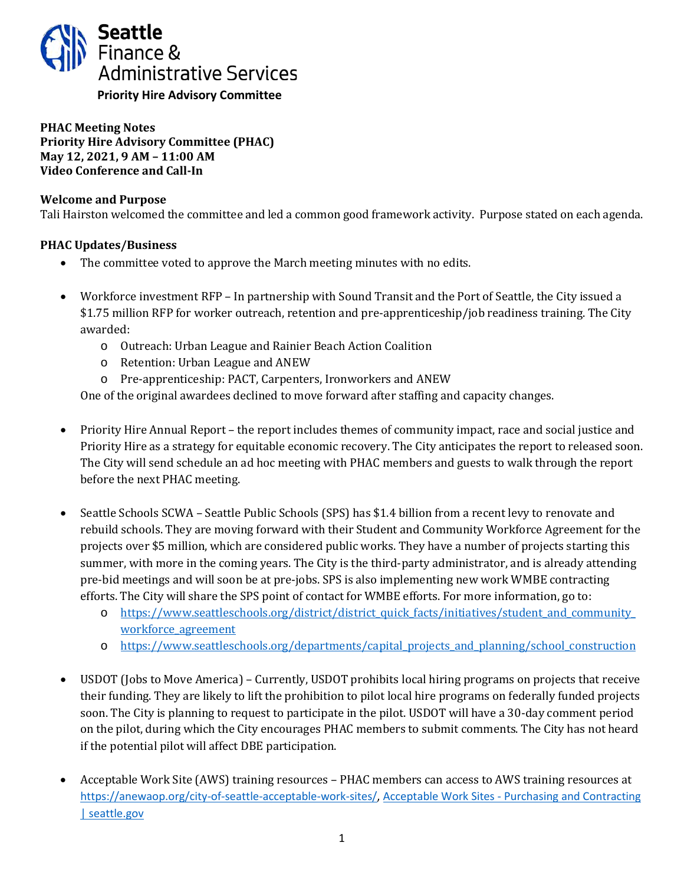

**PHAC Meeting Notes Priority Hire Advisory Committee (PHAC) May 12, 2021, 9 AM – 11:00 AM Video Conference and Call-In**

### **Welcome and Purpose**

Tali Hairston welcomed the committee and led a common good framework activity. Purpose stated on each agenda.

## **PHAC Updates/Business**

- The committee voted to approve the March meeting minutes with no edits.
- Workforce investment RFP In partnership with Sound Transit and the Port of Seattle, the City issued a \$1.75 million RFP for worker outreach, retention and pre-apprenticeship/job readiness training. The City awarded:
	- o Outreach: Urban League and Rainier Beach Action Coalition
	- o Retention: Urban League and ANEW
	- o Pre-apprenticeship: PACT, Carpenters, Ironworkers and ANEW

One of the original awardees declined to move forward after staffing and capacity changes.

- Priority Hire Annual Report the report includes themes of community impact, race and social justice and Priority Hire as a strategy for equitable economic recovery. The City anticipates the report to released soon. The City will send schedule an ad hoc meeting with PHAC members and guests to walk through the report before the next PHAC meeting.
- Seattle Schools SCWA Seattle Public Schools (SPS) has \$1.4 billion from a recent levy to renovate and rebuild schools. They are moving forward with their Student and Community Workforce Agreement for the projects over \$5 million, which are considered public works. They have a number of projects starting this summer, with more in the coming years. The City is the third-party administrator, and is already attending pre-bid meetings and will soon be at pre-jobs. SPS is also implementing new work WMBE contracting efforts. The City will share the SPS point of contact for WMBE efforts. For more information, go to:
	- o [https://www.seattleschools.org/district/district\\_quick\\_facts/initiatives/student\\_and\\_community\\_](https://www.seattleschools.org/district/district_quick_facts/initiatives/student_and_community_workforce_agreement) workforce agreement
	- o https://www.seattleschools.org/departments/capital projects and planning/school construction
- USDOT (Jobs to Move America) Currently, USDOT prohibits local hiring programs on projects that receive their funding. They are likely to lift the prohibition to pilot local hire programs on federally funded projects soon. The City is planning to request to participate in the pilot. USDOT will have a 30-day comment period on the pilot, during which the City encourages PHAC members to submit comments. The City has not heard if the potential pilot will affect DBE participation.
- Acceptable Work Site (AWS) training resources PHAC members can access to AWS training resources at [https://anewaop.org/city-of-seattle-acceptable-work-sites/,](https://anewaop.org/city-of-seattle-acceptable-work-sites/) [Acceptable Work Sites - Purchasing and Contracting](http://www.seattle.gov/purchasing-and-contracting/social-equity/acceptable-work-sites) [| seattle.gov](http://www.seattle.gov/purchasing-and-contracting/social-equity/acceptable-work-sites)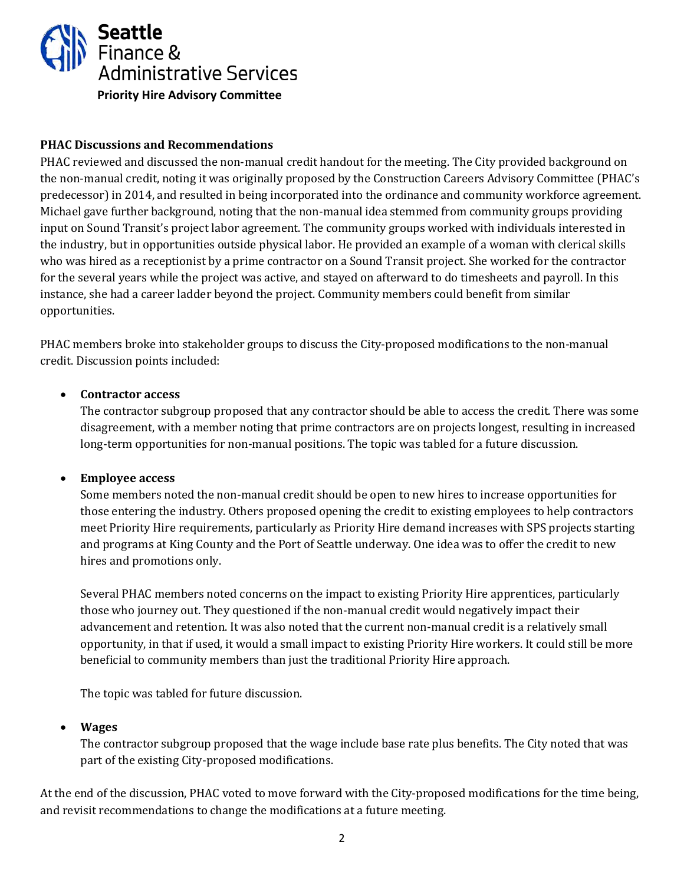

### **PHAC Discussions and Recommendations**

PHAC reviewed and discussed the non-manual credit handout for the meeting. The City provided background on the non-manual credit, noting it was originally proposed by the Construction Careers Advisory Committee (PHAC's predecessor) in 2014, and resulted in being incorporated into the ordinance and community workforce agreement. Michael gave further background, noting that the non-manual idea stemmed from community groups providing input on Sound Transit's project labor agreement. The community groups worked with individuals interested in the industry, but in opportunities outside physical labor. He provided an example of a woman with clerical skills who was hired as a receptionist by a prime contractor on a Sound Transit project. She worked for the contractor for the several years while the project was active, and stayed on afterward to do timesheets and payroll. In this instance, she had a career ladder beyond the project. Community members could benefit from similar opportunities.

PHAC members broke into stakeholder groups to discuss the City-proposed modifications to the non-manual credit. Discussion points included:

### • **Contractor access**

The contractor subgroup proposed that any contractor should be able to access the credit. There was some disagreement, with a member noting that prime contractors are on projects longest, resulting in increased long-term opportunities for non-manual positions. The topic was tabled for a future discussion.

#### • **Employee access**

Some members noted the non-manual credit should be open to new hires to increase opportunities for those entering the industry. Others proposed opening the credit to existing employees to help contractors meet Priority Hire requirements, particularly as Priority Hire demand increases with SPS projects starting and programs at King County and the Port of Seattle underway. One idea was to offer the credit to new hires and promotions only.

Several PHAC members noted concerns on the impact to existing Priority Hire apprentices, particularly those who journey out. They questioned if the non-manual credit would negatively impact their advancement and retention. It was also noted that the current non-manual credit is a relatively small opportunity, in that if used, it would a small impact to existing Priority Hire workers. It could still be more beneficial to community members than just the traditional Priority Hire approach.

The topic was tabled for future discussion.

#### • **Wages**

The contractor subgroup proposed that the wage include base rate plus benefits. The City noted that was part of the existing City-proposed modifications.

At the end of the discussion, PHAC voted to move forward with the City-proposed modifications for the time being, and revisit recommendations to change the modifications at a future meeting.